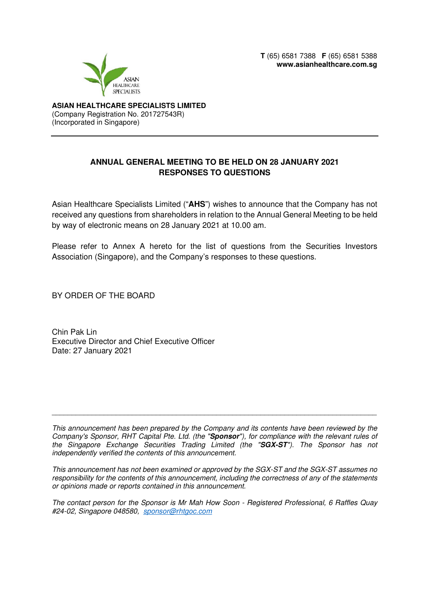**T** (65) 6581 7388 **F** (65) 6581 5388 **www.asianhealthcare.com.sg** 



**ASIAN HEALTHCARE SPECIALISTS LIMITED**  (Company Registration No. 201727543R) (Incorporated in Singapore)

## **ANNUAL GENERAL MEETING TO BE HELD ON 28 JANUARY 2021 RESPONSES TO QUESTIONS**

Asian Healthcare Specialists Limited ("**AHS**") wishes to announce that the Company has not received any questions from shareholders in relation to the Annual General Meeting to be held by way of electronic means on 28 January 2021 at 10.00 am.

Please refer to Annex A hereto for the list of questions from the Securities Investors Association (Singapore), and the Company's responses to these questions.

BY ORDER OF THE BOARD

Chin Pak Lin Executive Director and Chief Executive Officer Date: 27 January 2021

This announcement has been prepared by the Company and its contents have been reviewed by the Company's Sponsor, RHT Capital Pte. Ltd. (the "**Sponsor**"), for compliance with the relevant rules of the Singapore Exchange Securities Trading Limited (the "**SGX-ST**"). The Sponsor has not independently verified the contents of this announcement.

\_\_\_\_\_\_\_\_\_\_\_\_\_\_\_\_\_\_\_\_\_\_\_\_\_\_\_\_\_\_\_\_\_\_\_\_\_\_\_\_\_\_\_\_\_\_\_\_\_\_\_\_\_\_\_\_\_\_\_\_\_\_\_\_\_\_\_\_\_\_\_\_\_\_\_\_\_\_\_\_\_

This announcement has not been examined or approved by the SGX-ST and the SGX-ST assumes no responsibility for the contents of this announcement, including the correctness of any of the statements or opinions made or reports contained in this announcement.

The contact person for the Sponsor is Mr Mah How Soon - Registered Professional, 6 Raffles Quay #24-02, Singapore 048580, sponsor@rhtgoc.com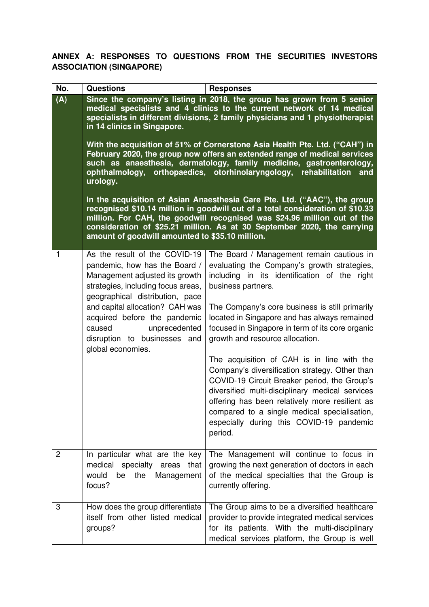**ANNEX A: RESPONSES TO QUESTIONS FROM THE SECURITIES INVESTORS ASSOCIATION (SINGAPORE)** 

| No.            | <b>Questions</b>                                                                                                                                                                                                                                                                                                                                                                                                                                                                                                                                                                                                                                                                                                                                                                                                                                                                                                                                                     | <b>Responses</b>                                                                                                                                                                                                                                                                                                                                                                                                                                                                                                                                                                                                                                                                                                    |
|----------------|----------------------------------------------------------------------------------------------------------------------------------------------------------------------------------------------------------------------------------------------------------------------------------------------------------------------------------------------------------------------------------------------------------------------------------------------------------------------------------------------------------------------------------------------------------------------------------------------------------------------------------------------------------------------------------------------------------------------------------------------------------------------------------------------------------------------------------------------------------------------------------------------------------------------------------------------------------------------|---------------------------------------------------------------------------------------------------------------------------------------------------------------------------------------------------------------------------------------------------------------------------------------------------------------------------------------------------------------------------------------------------------------------------------------------------------------------------------------------------------------------------------------------------------------------------------------------------------------------------------------------------------------------------------------------------------------------|
| (A)            | Since the company's listing in 2018, the group has grown from 5 senior<br>medical specialists and 4 clinics to the current network of 14 medical<br>specialists in different divisions, 2 family physicians and 1 physiotherapist<br>in 14 clinics in Singapore.<br>With the acquisition of 51% of Cornerstone Asia Health Pte. Ltd. ("CAH") in<br>February 2020, the group now offers an extended range of medical services<br>such as anaesthesia, dermatology, family medicine, gastroenterology,<br>ophthalmology, orthopaedics, otorhinolaryngology, rehabilitation<br>and<br>urology.<br>In the acquisition of Asian Anaesthesia Care Pte. Ltd. ("AAC"), the group<br>recognised \$10.14 million in goodwill out of a total consideration of \$10.33<br>million. For CAH, the goodwill recognised was \$24.96 million out of the<br>consideration of \$25.21 million. As at 30 September 2020, the carrying<br>amount of goodwill amounted to \$35.10 million. |                                                                                                                                                                                                                                                                                                                                                                                                                                                                                                                                                                                                                                                                                                                     |
| 1              | As the result of the COVID-19<br>pandemic, how has the Board /<br>Management adjusted its growth<br>strategies, including focus areas,<br>geographical distribution, pace<br>and capital allocation? CAH was<br>acquired before the pandemic<br>caused<br>unprecedented<br>disruption to businesses and<br>global economies.                                                                                                                                                                                                                                                                                                                                                                                                                                                                                                                                                                                                                                         | The Board / Management remain cautious in<br>evaluating the Company's growth strategies,<br>including in its identification of the right<br>business partners.<br>The Company's core business is still primarily<br>located in Singapore and has always remained<br>focused in Singapore in term of its core organic<br>growth and resource allocation.<br>The acquisition of CAH is in line with the<br>Company's diversification strategy. Other than<br>COVID-19 Circuit Breaker period, the Group's<br>diversified multi-disciplinary medical services<br>offering has been relatively more resilient as<br>compared to a single medical specialisation,<br>especially during this COVID-19 pandemic<br>period. |
| $\overline{c}$ | In particular what are the key<br>medical specialty areas<br>that<br>would<br>the<br>be<br>Management<br>focus?                                                                                                                                                                                                                                                                                                                                                                                                                                                                                                                                                                                                                                                                                                                                                                                                                                                      | The Management will continue to focus in<br>growing the next generation of doctors in each<br>of the medical specialties that the Group is<br>currently offering.                                                                                                                                                                                                                                                                                                                                                                                                                                                                                                                                                   |
| 3              | How does the group differentiate<br>itself from other listed medical<br>groups?                                                                                                                                                                                                                                                                                                                                                                                                                                                                                                                                                                                                                                                                                                                                                                                                                                                                                      | The Group aims to be a diversified healthcare<br>provider to provide integrated medical services<br>for its patients. With the multi-disciplinary<br>medical services platform, the Group is well                                                                                                                                                                                                                                                                                                                                                                                                                                                                                                                   |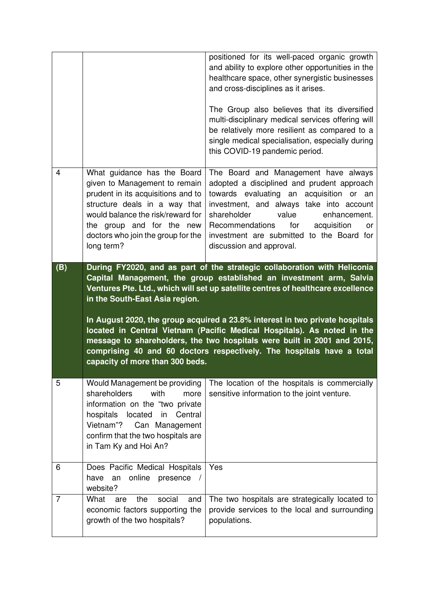|                |                                                                                                                                                                                                                                                                                                                                                                                                                                                                                                                                                                                                                         | positioned for its well-paced organic growth<br>and ability to explore other opportunities in the<br>healthcare space, other synergistic businesses<br>and cross-disciplines as it arises.<br>The Group also believes that its diversified<br>multi-disciplinary medical services offering will<br>be relatively more resilient as compared to a<br>single medical specialisation, especially during<br>this COVID-19 pandemic period. |
|----------------|-------------------------------------------------------------------------------------------------------------------------------------------------------------------------------------------------------------------------------------------------------------------------------------------------------------------------------------------------------------------------------------------------------------------------------------------------------------------------------------------------------------------------------------------------------------------------------------------------------------------------|----------------------------------------------------------------------------------------------------------------------------------------------------------------------------------------------------------------------------------------------------------------------------------------------------------------------------------------------------------------------------------------------------------------------------------------|
|                |                                                                                                                                                                                                                                                                                                                                                                                                                                                                                                                                                                                                                         |                                                                                                                                                                                                                                                                                                                                                                                                                                        |
| 4              | What guidance has the Board<br>given to Management to remain<br>prudent in its acquisitions and to<br>structure deals in a way that<br>would balance the risk/reward for<br>the group and for the new<br>doctors who join the group for the<br>long term?                                                                                                                                                                                                                                                                                                                                                               | The Board and Management have always<br>adopted a disciplined and prudent approach<br>towards evaluating an acquisition or an<br>investment, and always take into account<br>shareholder<br>value<br>enhancement.<br>for<br>Recommendations<br>acquisition<br>or<br>investment are submitted to the Board for<br>discussion and approval.                                                                                              |
| (B)            | During FY2020, and as part of the strategic collaboration with Heliconia<br>Capital Management, the group established an investment arm, Salvia<br>Ventures Pte. Ltd., which will set up satellite centres of healthcare excellence<br>in the South-East Asia region.<br>In August 2020, the group acquired a 23.8% interest in two private hospitals<br>located in Central Vietnam (Pacific Medical Hospitals). As noted in the<br>message to shareholders, the two hospitals were built in 2001 and 2015,<br>comprising 40 and 60 doctors respectively. The hospitals have a total<br>capacity of more than 300 beds. |                                                                                                                                                                                                                                                                                                                                                                                                                                        |
| 5              | Would Management be providing<br>shareholders<br>with<br>more<br>information on the "two private<br>hospitals<br>located<br>in<br>Central<br>Vietnam"?<br>Can Management<br>confirm that the two hospitals are<br>in Tam Ky and Hoi An?                                                                                                                                                                                                                                                                                                                                                                                 | The location of the hospitals is commercially<br>sensitive information to the joint venture.                                                                                                                                                                                                                                                                                                                                           |
| 6              | Does Pacific Medical Hospitals<br>online<br>presence<br>have<br>an<br>website?                                                                                                                                                                                                                                                                                                                                                                                                                                                                                                                                          | Yes                                                                                                                                                                                                                                                                                                                                                                                                                                    |
| $\overline{7}$ | What<br>the<br>social<br>and<br>are<br>economic factors supporting the<br>growth of the two hospitals?                                                                                                                                                                                                                                                                                                                                                                                                                                                                                                                  | The two hospitals are strategically located to<br>provide services to the local and surrounding<br>populations.                                                                                                                                                                                                                                                                                                                        |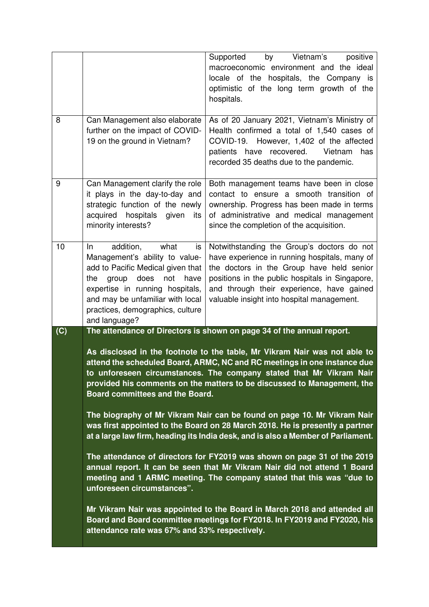| 8   | Can Management also elaborate                                                                                                                                                                                                                                                                                                                                                                                                                                                                                                                                                                                                                                                                                                                                                                                                                                                                                                   | by Vietnam's<br>Supported<br>positive<br>macroeconomic environment and the ideal<br>locale of the hospitals, the Company is<br>optimistic of the long term growth of the<br>hospitals.<br>As of 20 January 2021, Vietnam's Ministry of                                                 |
|-----|---------------------------------------------------------------------------------------------------------------------------------------------------------------------------------------------------------------------------------------------------------------------------------------------------------------------------------------------------------------------------------------------------------------------------------------------------------------------------------------------------------------------------------------------------------------------------------------------------------------------------------------------------------------------------------------------------------------------------------------------------------------------------------------------------------------------------------------------------------------------------------------------------------------------------------|----------------------------------------------------------------------------------------------------------------------------------------------------------------------------------------------------------------------------------------------------------------------------------------|
|     | further on the impact of COVID-<br>19 on the ground in Vietnam?                                                                                                                                                                                                                                                                                                                                                                                                                                                                                                                                                                                                                                                                                                                                                                                                                                                                 | Health confirmed a total of 1,540 cases of<br>COVID-19. However, 1,402 of the affected<br>patients have recovered.<br>Vietnam<br>has<br>recorded 35 deaths due to the pandemic.                                                                                                        |
| 9   | Can Management clarify the role<br>it plays in the day-to-day and<br>strategic function of the newly<br>acquired hospitals<br>given<br>its<br>minority interests?                                                                                                                                                                                                                                                                                                                                                                                                                                                                                                                                                                                                                                                                                                                                                               | Both management teams have been in close<br>contact to ensure a smooth transition of<br>ownership. Progress has been made in terms<br>of administrative and medical management<br>since the completion of the acquisition.                                                             |
| 10  | addition,<br>what<br>In<br>is<br>Management's ability to value-<br>add to Pacific Medical given that<br>the<br>group does<br>not<br>have<br>expertise in running hospitals,<br>and may be unfamiliar with local<br>practices, demographics, culture<br>and language?                                                                                                                                                                                                                                                                                                                                                                                                                                                                                                                                                                                                                                                            | Notwithstanding the Group's doctors do not<br>have experience in running hospitals, many of<br>the doctors in the Group have held senior<br>positions in the public hospitals in Singapore,<br>and through their experience, have gained<br>valuable insight into hospital management. |
| (C) | The attendance of Directors is shown on page 34 of the annual report.<br>As disclosed in the footnote to the table, Mr Vikram Nair was not able to<br>attend the scheduled Board, ARMC, NC and RC meetings in one instance due<br>to unforeseen circumstances. The company stated that Mr Vikram Nair<br>provided his comments on the matters to be discussed to Management, the<br>Board committees and the Board.<br>The biography of Mr Vikram Nair can be found on page 10. Mr Vikram Nair<br>was first appointed to the Board on 28 March 2018. He is presently a partner<br>at a large law firm, heading its India desk, and is also a Member of Parliament.<br>The attendance of directors for FY2019 was shown on page 31 of the 2019<br>annual report. It can be seen that Mr Vikram Nair did not attend 1 Board<br>meeting and 1 ARMC meeting. The company stated that this was "due to<br>unforeseen circumstances". |                                                                                                                                                                                                                                                                                        |
|     | Mr Vikram Nair was appointed to the Board in March 2018 and attended all<br>Board and Board committee meetings for FY2018. In FY2019 and FY2020, his<br>attendance rate was 67% and 33% respectively.                                                                                                                                                                                                                                                                                                                                                                                                                                                                                                                                                                                                                                                                                                                           |                                                                                                                                                                                                                                                                                        |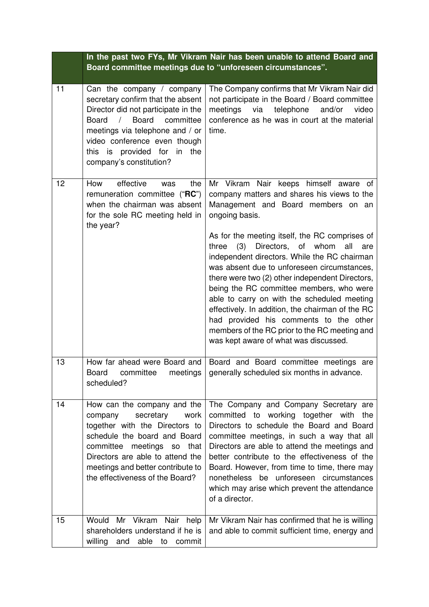|    | In the past two FYs, Mr Vikram Nair has been unable to attend Board and<br>Board committee meetings due to "unforeseen circumstances".                                                                                                                                                           |                                                                                                                                                                                                                                                                                                                                                                                                                                                                                                                                         |
|----|--------------------------------------------------------------------------------------------------------------------------------------------------------------------------------------------------------------------------------------------------------------------------------------------------|-----------------------------------------------------------------------------------------------------------------------------------------------------------------------------------------------------------------------------------------------------------------------------------------------------------------------------------------------------------------------------------------------------------------------------------------------------------------------------------------------------------------------------------------|
| 11 | Can the company / company<br>secretary confirm that the absent<br>Director did not participate in the<br><b>Board</b><br><b>Board</b><br>$\sqrt{2}$<br>committee<br>meetings via telephone and / or<br>video conference even though<br>this is provided for in<br>the<br>company's constitution? | The Company confirms that Mr Vikram Nair did<br>not participate in the Board / Board committee<br>meetings<br>via<br>telephone<br>and/or<br>video<br>conference as he was in court at the material<br>time.                                                                                                                                                                                                                                                                                                                             |
| 12 | effective<br>How<br>the<br>was<br>remuneration committee ("RC")<br>when the chairman was absent<br>for the sole RC meeting held in<br>the year?                                                                                                                                                  | Mr Vikram Nair keeps himself aware of<br>company matters and shares his views to the<br>Management and Board members on an<br>ongoing basis.                                                                                                                                                                                                                                                                                                                                                                                            |
|    |                                                                                                                                                                                                                                                                                                  | As for the meeting itself, the RC comprises of<br>Directors, of whom<br>three<br>(3)<br>all<br>are<br>independent directors. While the RC chairman<br>was absent due to unforeseen circumstances,<br>there were two (2) other independent Directors,<br>being the RC committee members, who were<br>able to carry on with the scheduled meeting<br>effectively. In addition, the chairman of the RC<br>had provided his comments to the other<br>members of the RC prior to the RC meeting and<br>was kept aware of what was discussed. |
| 13 | How far ahead were Board and<br>committee meetings<br>Board<br>scheduled?                                                                                                                                                                                                                        | Board and Board committee meetings are<br>generally scheduled six months in advance.                                                                                                                                                                                                                                                                                                                                                                                                                                                    |
| 14 | How can the company and the<br>company<br>secretary<br>work<br>together with the Directors to<br>schedule the board and Board<br>committee meetings so that<br>Directors are able to attend the<br>meetings and better contribute to<br>the effectiveness of the Board?                          | The Company and Company Secretary are<br>committed to working together with the<br>Directors to schedule the Board and Board<br>committee meetings, in such a way that all<br>Directors are able to attend the meetings and<br>better contribute to the effectiveness of the<br>Board. However, from time to time, there may<br>nonetheless be unforeseen circumstances<br>which may arise which prevent the attendance<br>of a director.                                                                                               |
| 15 | Would Mr Vikram Nair help<br>shareholders understand if he is<br>willing<br>able to<br>and<br>commit                                                                                                                                                                                             | Mr Vikram Nair has confirmed that he is willing<br>and able to commit sufficient time, energy and                                                                                                                                                                                                                                                                                                                                                                                                                                       |